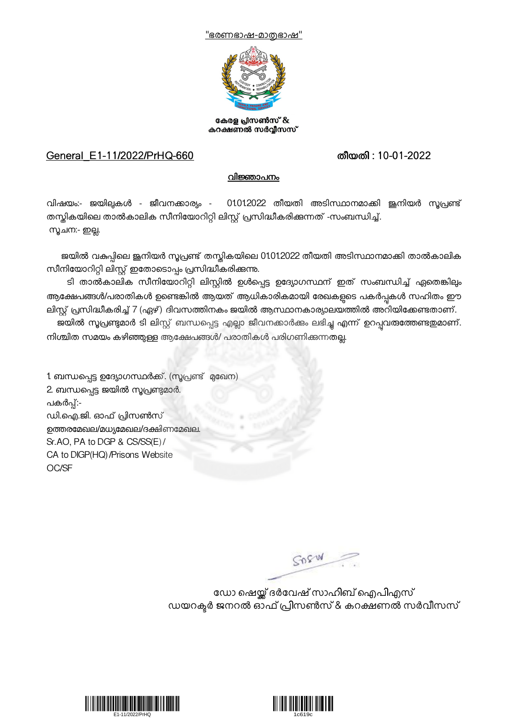



കേരള പ്രസൺസ് & കറക്ഷണൽ സർവ്വീസസ്

## General\_E1-11/2022/PrHQ-660 തീയതി : 10-01-2022

## വിജ്ഞാപനം

വിഷയം:- ജയിലുകൾ - ജീവനക്കാര്യം - 01012022 തീയതി അടിസ്ഥാനമാക്കി ജ്ഞിയർ സുപ്രണ്ട് തസ്തികയിലെ താൽകാലിക സീനിയോറിറ്റി ലിസ്റ്റ് പ്രസിദ്ധീകരിക്കുന്നത് -സംബന്ധിച്ച്. സുചന:- ഇല്ല.

ജയിൽ വകപ്പിലെ ജൂനിയർ സൂപ്രണ്ട് തസ്തികയിലെ 01.01.2022 തീയതി അടിസ്ഥാനമാക്കി താൽകാലിക സീനിയോറിറ്റി ലിസ്റ്റ് ഇതോടൊപ്പം പ്രസിദ്ധീകരിക്കുന്നു.

ടി താൽകാലിക സീനിയോറിറ്റി ലിസ്റ്റിൽ ഉൾപ്പെട്ട ഉദ്യോഗസ്ഥന് ഇത് സംബന്ധിച്ച് ഏതെങ്കിലും ആക്ഷേപങ്ങൾ/പരാതികൾ ഉണ്ടെങ്കിൽ ആയത് ആധികാരികമായി രേഖകളുടെ പകർപ്പകൾ സഹിതം ഈ ലിസ്റ്റ് പ്രസിദ്ധീകരിച്ച് 7 (ഏഴ്) ദിവസത്തിനകം ജയിൽ ആസ്ഥാനകാര്യാലയത്തിൽ അറിയിക്കേണ്ടതാണ്.

ജയിൽ സൂപ്രണ്ടുമാർ ടി ലിസ്റ്റ് ബന്ധപ്പെട്ട എല്ലാ ജീവനക്കാർക്കം ലഭിച്ചു എന്ന് ഉറപ്പവരുത്തേണ്ടതുമാണ്. നിശ്ചിത സമയം കഴിഞ്ഞുള്ള ആക്ഷേപങ്ങൾ/ പരാതികൾ പരിഗണിക്കുന്നതല്ല.

1. ബന്ധപ്പെട്ട ഉദ്യോഗസ്ഥർക്ക്. (സൂപ്രണ്ട് മുഖേന) 2. ബന്ധപ്പെട്ട ജയിൽ സൂപ്രണ്ടുമാർ. പകർപ്പ്:-ഡി.ഐ.ജി. ഓഫ് !ിസൺസ് ഉത്തരമേഖല/മധ്യമേഖല/ദക്ഷിണമേഖല. Sr.AO, PA to DGP & CS/SS(E)/ CA to DIGP(HQ)/Prisons Website OC/SF

SORW

ഡോ ഷെയ്ക് ദർവേഷ് സാഹിബ് ഐപിഎസ് ഡയറക്ടർ ജനറൽ ഓഫ് പ്രിസൺസ് & കറക്ഷണൽ സർവീസസ്